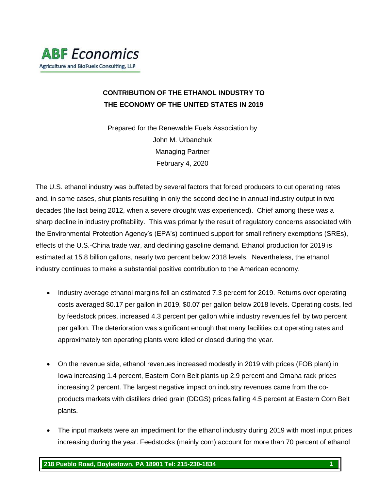### **CONTRIBUTION OF THE ETHANOL INDUSTRY TO THE ECONOMY OF THE UNITED STATES IN 2019**

Prepared for the Renewable Fuels Association by John M. Urbanchuk Managing Partner February 4, 2020

The U.S. ethanol industry was buffeted by several factors that forced producers to cut operating rates and, in some cases, shut plants resulting in only the second decline in annual industry output in two decades (the last being 2012, when a severe drought was experienced). Chief among these was a sharp decline in industry profitability. This was primarily the result of regulatory concerns associated with the Environmental Protection Agency's (EPA's) continued support for small refinery exemptions (SREs), effects of the U.S.-China trade war, and declining gasoline demand. Ethanol production for 2019 is estimated at 15.8 billion gallons, nearly two percent below 2018 levels. Nevertheless, the ethanol industry continues to make a substantial positive contribution to the American economy.

- Industry average ethanol margins fell an estimated 7.3 percent for 2019. Returns over operating costs averaged \$0.17 per gallon in 2019, \$0.07 per gallon below 2018 levels. Operating costs, led by feedstock prices, increased 4.3 percent per gallon while industry revenues fell by two percent per gallon. The deterioration was significant enough that many facilities cut operating rates and approximately ten operating plants were idled or closed during the year.
- On the revenue side, ethanol revenues increased modestly in 2019 with prices (FOB plant) in Iowa increasing 1.4 percent, Eastern Corn Belt plants up 2.9 percent and Omaha rack prices increasing 2 percent. The largest negative impact on industry revenues came from the coproducts markets with distillers dried grain (DDGS) prices falling 4.5 percent at Eastern Corn Belt plants.
- The input markets were an impediment for the ethanol industry during 2019 with most input prices increasing during the year. Feedstocks (mainly corn) account for more than 70 percent of ethanol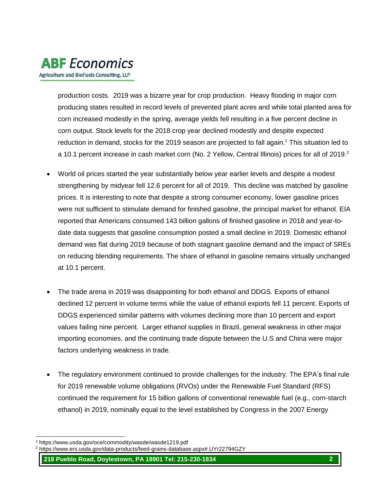production costs. 2019 was a bizarre year for crop production. Heavy flooding in major corn producing states resulted in record levels of prevented plant acres and while total planted area for corn increased modestly in the spring, average yields fell resulting in a five percent decline in corn output. Stock levels for the 2018 crop year declined modestly and despite expected reduction in demand, stocks for the 2019 season are projected to fall again.<sup>1</sup> This situation led to a 10.1 percent increase in cash market corn (No. 2 Yellow, Central Illinois) prices for all of 2019.<sup>2</sup>

- World oil prices started the year substantially below year earlier levels and despite a modest strengthening by midyear fell 12.6 percent for all of 2019. This decline was matched by gasoline prices. It is interesting to note that despite a strong consumer economy, lower gasoline prices were not sufficient to stimulate demand for finished gasoline, the principal market for ethanol. EIA reported that Americans consumed 143 billion gallons of finished gasoline in 2018 and year-todate data suggests that gasoline consumption posted a small decline in 2019. Domestic ethanol demand was flat during 2019 because of both stagnant gasoline demand and the impact of SREs on reducing blending requirements. The share of ethanol in gasoline remains virtually unchanged at 10.1 percent.
- The trade arena in 2019 was disappointing for both ethanol and DDGS. Exports of ethanol declined 12 percent in volume terms while the value of ethanol exports fell 11 percent. Exports of DDGS experienced similar patterns with volumes declining more than 10 percent and export values failing nine percent. Larger ethanol supplies in Brazil, general weakness in other major importing economies, and the continuing trade dispute between the U.S and China were major factors underlying weakness in trade.
- The regulatory environment continued to provide challenges for the industry. The EPA's final rule for 2019 renewable volume obligations (RVOs) under the Renewable Fuel Standard (RFS) continued the requirement for 15 billion gallons of conventional renewable fuel (e.g., corn-starch ethanol) in 2019, nominally equal to the level established by Congress in the 2007 Energy

l <sup>1</sup> https://www.usda.gov/oce/commodity/wasde/wasde1219.pdf

<sup>2</sup> https://www.ers.usda.gov/data-products/feed-grains-database.aspx#.UYr22794GZY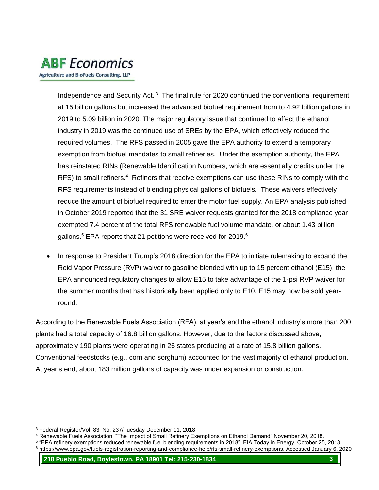

Independence and Security Act.<sup>3</sup> The final rule for 2020 continued the conventional requirement at 15 billion gallons but increased the advanced biofuel requirement from to 4.92 billion gallons in 2019 to 5.09 billion in 2020. The major regulatory issue that continued to affect the ethanol industry in 2019 was the continued use of SREs by the EPA, which effectively reduced the required volumes. The RFS passed in 2005 gave the EPA authority to extend a temporary exemption from biofuel mandates to small refineries. Under the exemption authority, the EPA has reinstated RINs (Renewable Identification Numbers, which are essentially credits under the RFS) to small refiners.<sup>4</sup> Refiners that receive exemptions can use these RINs to comply with the RFS requirements instead of blending physical gallons of biofuels. These waivers effectively reduce the amount of biofuel required to enter the motor fuel supply. An EPA analysis published in October 2019 reported that the 31 SRE waiver requests granted for the 2018 compliance year exempted 7.4 percent of the total RFS renewable fuel volume mandate, or about 1.43 billion gallons.<sup>5</sup> EPA reports that 21 petitions were received for 2019.<sup>6</sup>

• In response to President Trump's 2018 direction for the EPA to initiate rulemaking to expand the Reid Vapor Pressure (RVP) waiver to gasoline blended with up to 15 percent ethanol (E15), the EPA announced regulatory changes to allow E15 to take advantage of the 1-psi RVP waiver for the summer months that has historically been applied only to E10. E15 may now be sold yearround.

According to the Renewable Fuels Association (RFA), at year's end the ethanol industry's more than 200 plants had a total capacity of 16.8 billion gallons. However, due to the factors discussed above, approximately 190 plants were operating in 26 states producing at a rate of 15.8 billion gallons. Conventional feedstocks (e.g., corn and sorghum) accounted for the vast majority of ethanol production. At year's end, about 183 million gallons of capacity was under expansion or construction.

l

<sup>3</sup> Federal Register/Vol. 83, No. 237/Tuesday December 11, 2018

<sup>4</sup> Renewable Fuels Association. "The Impact of Small Refinery Exemptions on Ethanol Demand" November 20, 2018.

<sup>5</sup> "EPA refinery exemptions reduced renewable fuel blending requirements in 2018". EIA Today in Energy, October 25, 2018. <sup>6</sup> https://www.epa.gov/fuels-registration-reporting-and-compliance-help/rfs-small-refinery-exemptions. Accessed January 6, 2020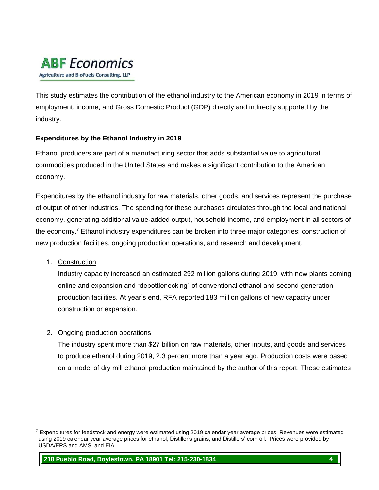This study estimates the contribution of the ethanol industry to the American economy in 2019 in terms of employment, income, and Gross Domestic Product (GDP) directly and indirectly supported by the industry.

#### **Expenditures by the Ethanol Industry in 2019**

Ethanol producers are part of a manufacturing sector that adds substantial value to agricultural commodities produced in the United States and makes a significant contribution to the American economy.

Expenditures by the ethanol industry for raw materials, other goods, and services represent the purchase of output of other industries. The spending for these purchases circulates through the local and national economy, generating additional value-added output, household income, and employment in all sectors of the economy.<sup>7</sup> Ethanol industry expenditures can be broken into three major categories: construction of new production facilities, ongoing production operations, and research and development.

1. Construction

l

Industry capacity increased an estimated 292 million gallons during 2019, with new plants coming online and expansion and "debottlenecking" of conventional ethanol and second-generation production facilities. At year's end, RFA reported 183 million gallons of new capacity under construction or expansion.

#### 2. Ongoing production operations

The industry spent more than \$27 billion on raw materials, other inputs, and goods and services to produce ethanol during 2019, 2.3 percent more than a year ago. Production costs were based on a model of dry mill ethanol production maintained by the author of this report. These estimates

 $7$  Expenditures for feedstock and energy were estimated using 2019 calendar year average prices. Revenues were estimated using 2019 calendar year average prices for ethanol; Distiller's grains, and Distillers' corn oil. Prices were provided by USDA/ERS and AMS, and EIA.

**<sup>218</sup> Pueblo Road, Doylestown, PA 18901 Tel: 215-230-1834 4**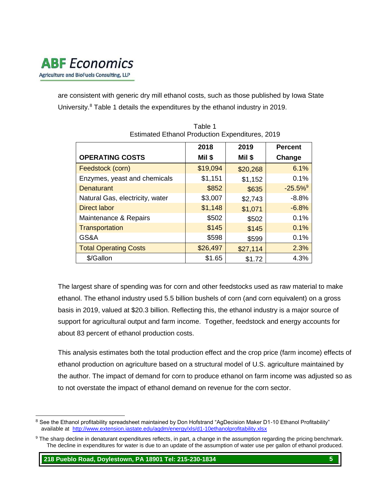

are consistent with generic dry mill ethanol costs, such as those published by Iowa State University.<sup>8</sup> Table 1 details the expenditures by the ethanol industry in 2019.

|                                 | 2018     | 2019     | <b>Percent</b>        |
|---------------------------------|----------|----------|-----------------------|
| <b>OPERATING COSTS</b>          | Mil \$   | Mil \$   | Change                |
| Feedstock (corn)                | \$19,094 | \$20,268 | 6.1%                  |
| Enzymes, yeast and chemicals    | \$1,151  | \$1,152  | 0.1%                  |
| <b>Denaturant</b>               | \$852    | \$635    | $-25.5%$ <sup>9</sup> |
| Natural Gas, electricity, water | \$3,007  | \$2,743  | $-8.8%$               |
| <b>Direct labor</b>             | \$1,148  | \$1,071  | $-6.8%$               |
| Maintenance & Repairs           | \$502    | \$502    | 0.1%                  |
| Transportation                  | \$145    | \$145    | 0.1%                  |
| GS&A                            | \$598    | \$599    | 0.1%                  |
| <b>Total Operating Costs</b>    | \$26,497 | \$27,114 | 2.3%                  |
| \$/Gallon                       | \$1.65   | \$1.72   | 4.3%                  |

Table 1 Estimated Ethanol Production Expenditures, 2019

The largest share of spending was for corn and other feedstocks used as raw material to make ethanol. The ethanol industry used 5.5 billion bushels of corn (and corn equivalent) on a gross basis in 2019, valued at \$20.3 billion. Reflecting this, the ethanol industry is a major source of support for agricultural output and farm income. Together, feedstock and energy accounts for about 83 percent of ethanol production costs.

This analysis estimates both the total production effect and the crop price (farm income) effects of ethanol production on agriculture based on a structural model of U.S. agriculture maintained by the author. The impact of demand for corn to produce ethanol on farm income was adjusted so as to not overstate the impact of ethanol demand on revenue for the corn sector.

l <sup>8</sup> See the Ethanol profitability spreadsheet maintained by Don Hofstrand "AgDecision Maker D1-10 Ethanol Profitability" available at <http://www.extension.iastate.edu/agdm/energy/xls/d1-10ethanolprofitability.xlsx>

<sup>9</sup> The sharp decline in denaturant expenditures reflects, in part, a change in the assumption regarding the pricing benchmark. The decline in expenditures for water is due to an update of the assumption of water use per gallon of ethanol produced.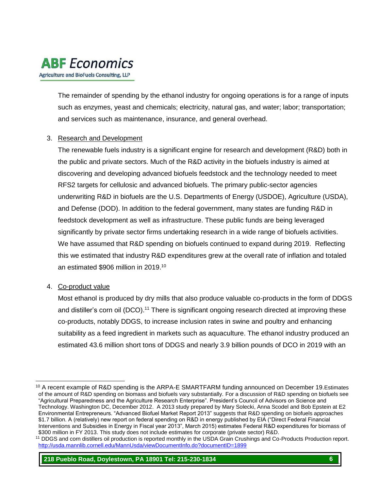# **ABF** Economics

Agriculture and BioFuels Consulting, LLP

The remainder of spending by the ethanol industry for ongoing operations is for a range of inputs such as enzymes, yeast and chemicals; electricity, natural gas, and water; labor; transportation; and services such as maintenance, insurance, and general overhead.

#### 3. Research and Development

The renewable fuels industry is a significant engine for research and development (R&D) both in the public and private sectors. Much of the R&D activity in the biofuels industry is aimed at discovering and developing advanced biofuels feedstock and the technology needed to meet RFS2 targets for cellulosic and advanced biofuels. The primary public-sector agencies underwriting R&D in biofuels are the U.S. Departments of Energy (USDOE), Agriculture (USDA), and Defense (DOD). In addition to the federal government, many states are funding R&D in feedstock development as well as infrastructure. These public funds are being leveraged significantly by private sector firms undertaking research in a wide range of biofuels activities. We have assumed that R&D spending on biofuels continued to expand during 2019. Reflecting this we estimated that industry R&D expenditures grew at the overall rate of inflation and totaled an estimated \$906 million in 2019. 10

#### 4. Co-product value

l

Most ethanol is produced by dry mills that also produce valuable co-products in the form of DDGS and distiller's corn oil (DCO).<sup>11</sup> There is significant ongoing research directed at improving these co-products, notably DDGS, to increase inclusion rates in swine and poultry and enhancing suitability as a feed ingredient in markets such as aquaculture. The ethanol industry produced an estimated 43.6 million short tons of DDGS and nearly 3.9 billion pounds of DCO in 2019 with an

<sup>10</sup> A recent example of R&D spending is the ARPA-E SMARTFARM funding announced on December 19.Estimates of the amount of R&D spending on biomass and biofuels vary substantially. For a discussion of R&D spending on biofuels see "Agricultural Preparedness and the Agriculture Research Enterprise". President's Council of Advisors on Science and Technology. Washington DC, December 2012. A 2013 study prepared by Mary Solecki, Anna Scodel and Bob Epstein at E2 Environmental Entrepreneurs. "Advanced Biofuel Market Report 2013" suggests that R&D spending on biofuels approaches \$1.7 billion. A (relatively) new report on federal spending on R&D in energy published by EIA ("Direct Federal Financial Interventions and Subsidies in Energy in Fiscal year 2013", March 2015) estimates Federal R&D expenditures for biomass of \$300 million in FY 2013. This study does not include estimates for corporate (private sector) R&D.

<sup>11</sup> DDGS and corn distillers oil production is reported monthly in the USDA Grain Crushings and Co-Products Production report. <http://usda.mannlib.cornell.edu/MannUsda/viewDocumentInfo.do?documentID=1899>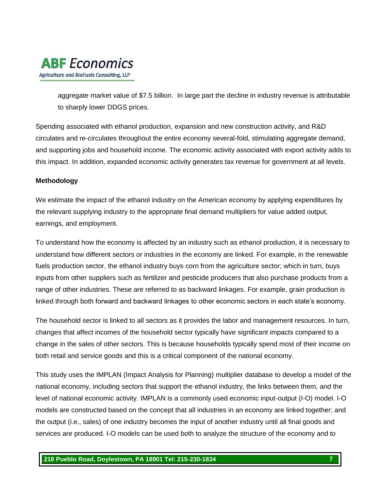

aggregate market value of \$7.5 billion. In large part the decline in industry revenue is attributable to sharply lower DDGS prices.

Spending associated with ethanol production, expansion and new construction activity, and R&D circulates and re-circulates throughout the entire economy several-fold, stimulating aggregate demand, and supporting jobs and household income. The economic activity associated with export activity adds to this impact. In addition, expanded economic activity generates tax revenue for government at all levels.

#### **Methodology**

We estimate the impact of the ethanol industry on the American economy by applying expenditures by the relevant supplying industry to the appropriate final demand multipliers for value added output, earnings, and employment.

To understand how the economy is affected by an industry such as ethanol production, it is necessary to understand how different sectors or industries in the economy are linked. For example, in the renewable fuels production sector, the ethanol industry buys corn from the agriculture sector; which in turn, buys inputs from other suppliers such as fertilizer and pesticide producers that also purchase products from a range of other industries. These are referred to as backward linkages. For example, grain production is linked through both forward and backward linkages to other economic sectors in each state's economy.

The household sector is linked to all sectors as it provides the labor and management resources. In turn, changes that affect incomes of the household sector typically have significant impacts compared to a change in the sales of other sectors. This is because households typically spend most of their income on both retail and service goods and this is a critical component of the national economy.

This study uses the IMPLAN (Impact Analysis for Planning) multiplier database to develop a model of the national economy, including sectors that support the ethanol industry, the links between them, and the level of national economic activity. IMPLAN is a commonly used economic input-output (I-O) model. I-O models are constructed based on the concept that all industries in an economy are linked together; and the output (i.e., sales) of one industry becomes the input of another industry until all final goods and services are produced. I-O models can be used both to analyze the structure of the economy and to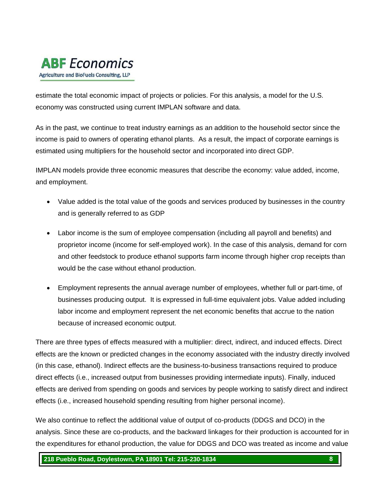

estimate the total economic impact of projects or policies. For this analysis, a model for the U.S. economy was constructed using current IMPLAN software and data.

As in the past, we continue to treat industry earnings as an addition to the household sector since the income is paid to owners of operating ethanol plants. As a result, the impact of corporate earnings is estimated using multipliers for the household sector and incorporated into direct GDP.

IMPLAN models provide three economic measures that describe the economy: value added, income, and employment.

- Value added is the total value of the goods and services produced by businesses in the country and is generally referred to as GDP
- Labor income is the sum of employee compensation (including all payroll and benefits) and proprietor income (income for self-employed work). In the case of this analysis, demand for corn and other feedstock to produce ethanol supports farm income through higher crop receipts than would be the case without ethanol production.
- Employment represents the annual average number of employees, whether full or part-time, of businesses producing output. It is expressed in full-time equivalent jobs. Value added including labor income and employment represent the net economic benefits that accrue to the nation because of increased economic output.

There are three types of effects measured with a multiplier: direct, indirect, and induced effects. Direct effects are the known or predicted changes in the economy associated with the industry directly involved (in this case, ethanol). Indirect effects are the business-to-business transactions required to produce direct effects (i.e., increased output from businesses providing intermediate inputs). Finally, induced effects are derived from spending on goods and services by people working to satisfy direct and indirect effects (i.e., increased household spending resulting from higher personal income).

We also continue to reflect the additional value of output of co-products (DDGS and DCO) in the analysis. Since these are co-products, and the backward linkages for their production is accounted for in the expenditures for ethanol production, the value for DDGS and DCO was treated as income and value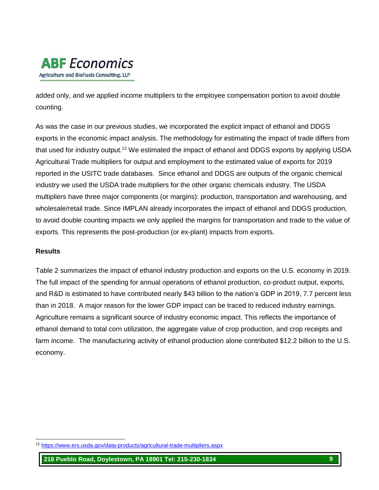added only, and we applied income multipliers to the employee compensation portion to avoid double counting.

As was the case in our previous studies, we incorporated the explicit impact of ethanol and DDGS exports in the economic impact analysis. The methodology for estimating the impact of trade differs from that used for industry output.<sup>12</sup> We estimated the impact of ethanol and DDGS exports by applying USDA Agricultural Trade multipliers for output and employment to the estimated value of exports for 2019 reported in the USITC trade databases. Since ethanol and DDGS are outputs of the organic chemical industry we used the USDA trade multipliers for the other organic chemicals industry. The USDA multipliers have three major components (or margins): production, transportation and warehousing, and wholesale/retail trade. Since IMPLAN already incorporates the impact of ethanol and DDGS production, to avoid double counting impacts we only applied the margins for transportation and trade to the value of exports. This represents the post-production (or ex-plant) impacts from exports.

#### **Results**

l

Table 2 summarizes the impact of ethanol industry production and exports on the U.S. economy in 2019. The full impact of the spending for annual operations of ethanol production, co-product output, exports, and R&D is estimated to have contributed nearly \$43 billion to the nation's GDP in 2019, 7.7 percent less than in 2018. A major reason for the lower GDP impact can be traced to reduced industry earnings. Agriculture remains a significant source of industry economic impact. This reflects the importance of ethanol demand to total corn utilization, the aggregate value of crop production, and crop receipts and farm income. The manufacturing activity of ethanol production alone contributed \$12.2 billion to the U.S. economy.

<sup>12</sup> <https://www.ers.usda.gov/data-products/agricultural-trade-multipliers.aspx>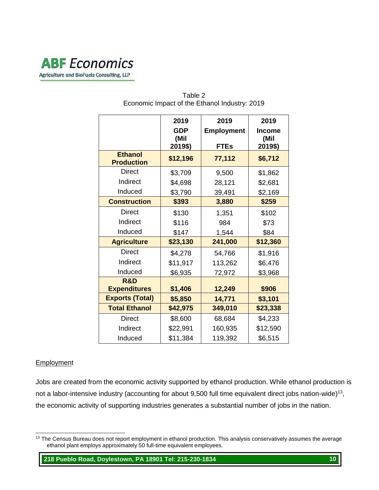|                                     | 2019<br><b>GDP</b><br>(Mil<br>2019\$) | 2019<br><b>Employment</b><br><b>FTEs</b> | 2019<br><b>Income</b><br>(Mil<br>2019\$) |
|-------------------------------------|---------------------------------------|------------------------------------------|------------------------------------------|
| <b>Ethanol</b><br><b>Production</b> | \$12,196                              | 77,112                                   | \$6,712                                  |
| Direct                              | \$3,709                               | 9,500                                    | \$1,862                                  |
| Indirect                            | \$4,698                               | 28,121                                   | \$2,681                                  |
| Induced                             | \$3,790                               | 39,491                                   | \$2,169                                  |
| <b>Construction</b>                 | \$393                                 | 3,880                                    | \$259                                    |
| <b>Direct</b>                       | \$130                                 | 1,351                                    | \$102                                    |
| Indirect                            | \$116                                 | 984                                      | \$73                                     |
| Induced                             | \$147                                 | 1,544                                    | \$84                                     |
| <b>Agriculture</b>                  | \$23,130                              | 241,000                                  | \$12,360                                 |
| <b>Direct</b>                       | \$4,278                               | 54,766                                   | \$1,916                                  |
| Indirect                            | \$11,917                              | 113,262                                  | \$6,476                                  |
| Induced                             | \$6,935                               | 72,972                                   | \$3,968                                  |
| R&D                                 |                                       |                                          |                                          |
| <b>Expenditures</b>                 | \$1,406                               | 12,249                                   | \$906                                    |
| <b>Exports (Total)</b>              | \$5,850                               | 14,771                                   | \$3,101                                  |
| <b>Total Ethanol</b>                | \$42,975                              | 349,010                                  | \$23,338                                 |
| Direct                              | \$8,600                               | 68,684                                   | \$4,233                                  |
| Indirect                            | \$22,991                              | 160,935                                  | \$12,590                                 |
| Induced                             | \$11,384                              | 119,392                                  | \$6,515                                  |

#### Table 2 Economic Impact of the Ethanol Industry: 2019

#### **Employment**

Jobs are created from the economic activity supported by ethanol production. While ethanol production is not a labor-intensive industry (accounting for about  $9,500$  full time equivalent direct jobs nation-wide)<sup>13</sup>, the economic activity of supporting industries generates a substantial number of jobs in the nation.

l <sup>13</sup> The Census Bureau does not report employment in ethanol production. This analysis conservatively assumes the average ethanol plant employs approximately 50 full-time equivalent employees.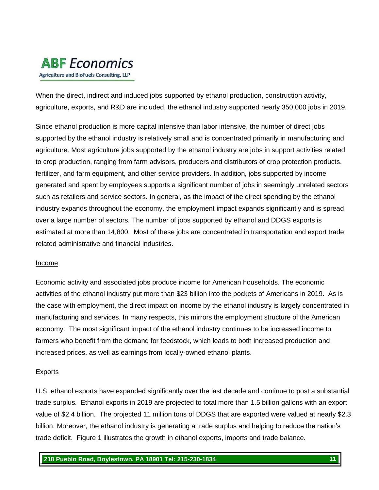When the direct, indirect and induced jobs supported by ethanol production, construction activity, agriculture, exports, and R&D are included, the ethanol industry supported nearly 350,000 jobs in 2019.

Since ethanol production is more capital intensive than labor intensive, the number of direct jobs supported by the ethanol industry is relatively small and is concentrated primarily in manufacturing and agriculture. Most agriculture jobs supported by the ethanol industry are jobs in support activities related to crop production, ranging from farm advisors, producers and distributors of crop protection products, fertilizer, and farm equipment, and other service providers. In addition, jobs supported by income generated and spent by employees supports a significant number of jobs in seemingly unrelated sectors such as retailers and service sectors. In general, as the impact of the direct spending by the ethanol industry expands throughout the economy, the employment impact expands significantly and is spread over a large number of sectors. The number of jobs supported by ethanol and DDGS exports is estimated at more than 14,800. Most of these jobs are concentrated in transportation and export trade related administrative and financial industries.

#### Income

Economic activity and associated jobs produce income for American households. The economic activities of the ethanol industry put more than \$23 billion into the pockets of Americans in 2019. As is the case with employment, the direct impact on income by the ethanol industry is largely concentrated in manufacturing and services. In many respects, this mirrors the employment structure of the American economy. The most significant impact of the ethanol industry continues to be increased income to farmers who benefit from the demand for feedstock, which leads to both increased production and increased prices, as well as earnings from locally-owned ethanol plants.

#### Exports

U.S. ethanol exports have expanded significantly over the last decade and continue to post a substantial trade surplus. Ethanol exports in 2019 are projected to total more than 1.5 billion gallons with an export value of \$2.4 billion. The projected 11 million tons of DDGS that are exported were valued at nearly \$2.3 billion. Moreover, the ethanol industry is generating a trade surplus and helping to reduce the nation's trade deficit. Figure 1 illustrates the growth in ethanol exports, imports and trade balance.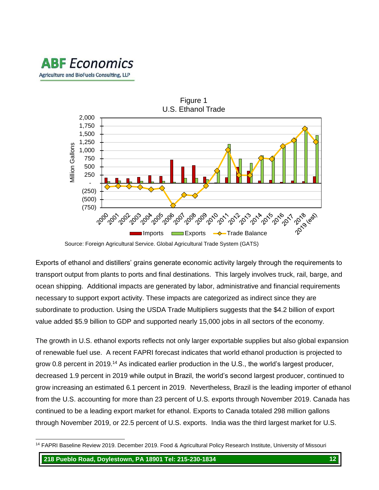

Source: Foreign Agricultural Service. Global Agricultural Trade System (GATS)

Exports of ethanol and distillers' grains generate economic activity largely through the requirements to transport output from plants to ports and final destinations. This largely involves truck, rail, barge, and ocean shipping. Additional impacts are generated by labor, administrative and financial requirements necessary to support export activity. These impacts are categorized as indirect since they are subordinate to production. Using the USDA Trade Multipliers suggests that the \$4.2 billion of export value added \$5.9 billion to GDP and supported nearly 15,000 jobs in all sectors of the economy.

The growth in U.S. ethanol exports reflects not only larger exportable supplies but also global expansion of renewable fuel use. A recent FAPRI forecast indicates that world ethanol production is projected to grow 0.8 percent in 2019.<sup>14</sup> As indicated earlier production in the U.S., the world's largest producer, decreased 1.9 percent in 2019 while output in Brazil, the world's second largest producer, continued to grow increasing an estimated 6.1 percent in 2019. Nevertheless, Brazil is the leading importer of ethanol from the U.S. accounting for more than 23 percent of U.S. exports through November 2019. Canada has continued to be a leading export market for ethanol. Exports to Canada totaled 298 million gallons through November 2019, or 22.5 percent of U.S. exports. India was the third largest market for U.S.

l <sup>14</sup> FAPRI Baseline Review 2019. December 2019. Food & Agricultural Policy Research Institute, University of Missouri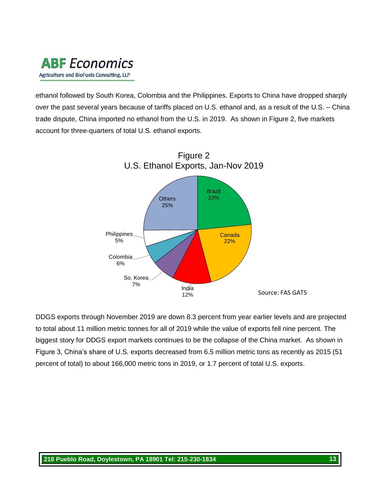

ethanol followed by South Korea, Colombia and the Philippines. Exports to China have dropped sharply over the past several years because of tariffs placed on U.S. ethanol and, as a result of the U.S. – China trade dispute, China imported no ethanol from the U.S. in 2019. As shown in Figure 2, five markets account for three-quarters of total U.S. ethanol exports.



DDGS exports through November 2019 are down 8.3 percent from year earlier levels and are projected to total about 11 million metric tonnes for all of 2019 while the value of exports fell nine percent. The biggest story for DDGS export markets continues to be the collapse of the China market. As shown in Figure 3, China's share of U.S. exports decreased from 6.5 million metric tons as recently as 2015 (51 percent of total) to about 166,000 metric tons in 2019, or 1.7 percent of total U.S. exports.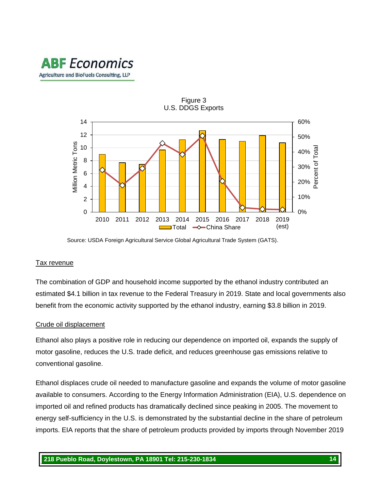



Source: USDA Foreign Agricultural Service Global Agricultural Trade System (GATS).

#### Tax revenue

The combination of GDP and household income supported by the ethanol industry contributed an estimated \$4.1 billion in tax revenue to the Federal Treasury in 2019. State and local governments also benefit from the economic activity supported by the ethanol industry, earning \$3.8 billion in 2019.

#### Crude oil displacement

Ethanol also plays a positive role in reducing our dependence on imported oil, expands the supply of motor gasoline, reduces the U.S. trade deficit, and reduces greenhouse gas emissions relative to conventional gasoline.

Ethanol displaces crude oil needed to manufacture gasoline and expands the volume of motor gasoline available to consumers. According to the Energy Information Administration (EIA), U.S. dependence on imported oil and refined products has dramatically declined since peaking in 2005. The movement to energy self-sufficiency in the U.S. is demonstrated by the substantial decline in the share of petroleum imports. EIA reports that the share of petroleum products provided by imports through November 2019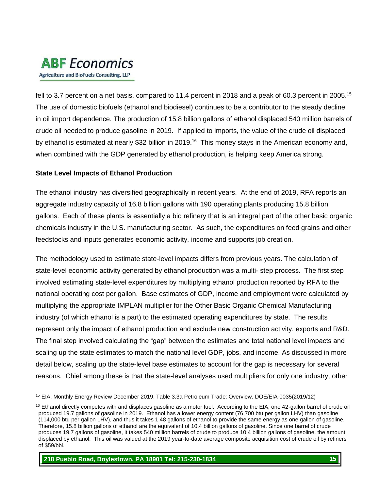

fell to 3.7 percent on a net basis, compared to 11.4 percent in 2018 and a peak of 60.3 percent in 2005.<sup>15</sup> The use of domestic biofuels (ethanol and biodiesel) continues to be a contributor to the steady decline in oil import dependence. The production of 15.8 billion gallons of ethanol displaced 540 million barrels of crude oil needed to produce gasoline in 2019. If applied to imports, the value of the crude oil displaced by ethanol is estimated at nearly \$32 billion in 2019.<sup>16</sup> This money stays in the American economy and, when combined with the GDP generated by ethanol production, is helping keep America strong.

#### **State Level Impacts of Ethanol Production**

The ethanol industry has diversified geographically in recent years. At the end of 2019, RFA reports an aggregate industry capacity of 16.8 billion gallons with 190 operating plants producing 15.8 billion gallons. Each of these plants is essentially a bio refinery that is an integral part of the other basic organic chemicals industry in the U.S. manufacturing sector. As such, the expenditures on feed grains and other feedstocks and inputs generates economic activity, income and supports job creation.

The methodology used to estimate state-level impacts differs from previous years. The calculation of state-level economic activity generated by ethanol production was a multi- step process. The first step involved estimating state-level expenditures by multiplying ethanol production reported by RFA to the national operating cost per gallon. Base estimates of GDP, income and employment were calculated by multiplying the appropriate IMPLAN multiplier for the Other Basic Organic Chemical Manufacturing industry (of which ethanol is a part) to the estimated operating expenditures by state. The results represent only the impact of ethanol production and exclude new construction activity, exports and R&D. The final step involved calculating the "gap" between the estimates and total national level impacts and scaling up the state estimates to match the national level GDP, jobs, and income. As discussed in more detail below, scaling up the state-level base estimates to account for the gap is necessary for several reasons. Chief among these is that the state-level analyses used multipliers for only one industry, other

**218 Pueblo Road, Doylestown, PA 18901 Tel: 215-230-1834 15**

l <sup>15</sup> EIA. Monthly Energy Review December 2019. Table 3.3a Petroleum Trade: Overview. DOE/EIA-0035(2019/12)

 $16$  Ethanol directly competes with and displaces gasoline as a motor fuel. According to the EIA, one 42-gallon barrel of crude oil produced 19.7 gallons of gasoline in 2019. Ethanol has a lower energy content (76,700 btu per gallon LHV) than gasoline (114,000 btu per gallon LHV), and thus it takes 1.48 gallons of ethanol to provide the same energy as one gallon of gasoline. Therefore, 15.8 billion gallons of ethanol are the equivalent of 10.4 billion gallons of gasoline. Since one barrel of crude produces 19.7 gallons of gasoline, it takes 540 million barrels of crude to produce 10.4 billion gallons of gasoline, the amount displaced by ethanol. This oil was valued at the 2019 year-to-date average composite acquisition cost of crude oil by refiners of \$59/bbl.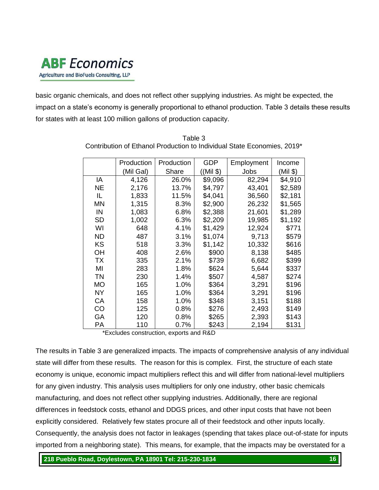

basic organic chemicals, and does not reflect other supplying industries. As might be expected, the impact on a state's economy is generally proportional to ethanol production. Table 3 details these results for states with at least 100 million gallons of production capacity.

|           | Production | Production | <b>GDP</b> | Employment | Income   |
|-----------|------------|------------|------------|------------|----------|
|           | (Mil Gal)  | Share      | ((Mil \$)  | Jobs       | (Mil \$) |
| ΙA        | 4,126      | 26.0%      | \$9,096    | 82,294     | \$4,910  |
| <b>NE</b> | 2,176      | 13.7%      | \$4,797    | 43,401     | \$2,589  |
| IL.       | 1,833      | 11.5%      | \$4,041    | 36,560     | \$2,181  |
| <b>MN</b> | 1,315      | 8.3%       | \$2,900    | 26,232     | \$1,565  |
| IN        | 1,083      | 6.8%       | \$2,388    | 21,601     | \$1,289  |
| <b>SD</b> | 1,002      | 6.3%       | \$2,209    | 19,985     | \$1,192  |
| WI        | 648        | 4.1%       | \$1,429    | 12,924     | \$771    |
| <b>ND</b> | 487        | 3.1%       | \$1,074    | 9,713      | \$579    |
| KS        | 518        | 3.3%       | \$1,142    | 10,332     | \$616    |
| OH        | 408        | 2.6%       | \$900      | 8,138      | \$485    |
| <b>TX</b> | 335        | 2.1%       | \$739      | 6,682      | \$399    |
| MI        | 283        | 1.8%       | \$624      | 5,644      | \$337    |
| <b>TN</b> | 230        | 1.4%       | \$507      | 4,587      | \$274    |
| <b>MO</b> | 165        | 1.0%       | \$364      | 3,291      | \$196    |
| <b>NY</b> | 165        | 1.0%       | \$364      | 3,291      | \$196    |
| CA        | 158        | 1.0%       | \$348      | 3,151      | \$188    |
| CO        | 125        | 0.8%       | \$276      | 2,493      | \$149    |
| GA        | 120        | 0.8%       | \$265      | 2,393      | \$143    |
| PA        | 110        | 0.7%       | \$243      | 2,194      | \$131    |

Table 3 Contribution of Ethanol Production to Individual State Economies, 2019\*

\*Excludes construction, exports and R&D

The results in Table 3 are generalized impacts. The impacts of comprehensive analysis of any individual state will differ from these results. The reason for this is complex. First, the structure of each state economy is unique, economic impact multipliers reflect this and will differ from national-level multipliers for any given industry. This analysis uses multipliers for only one industry, other basic chemicals manufacturing, and does not reflect other supplying industries. Additionally, there are regional differences in feedstock costs, ethanol and DDGS prices, and other input costs that have not been explicitly considered. Relatively few states procure all of their feedstock and other inputs locally. Consequently, the analysis does not factor in leakages (spending that takes place out-of-state for inputs imported from a neighboring state). This means, for example, that the impacts may be overstated for a